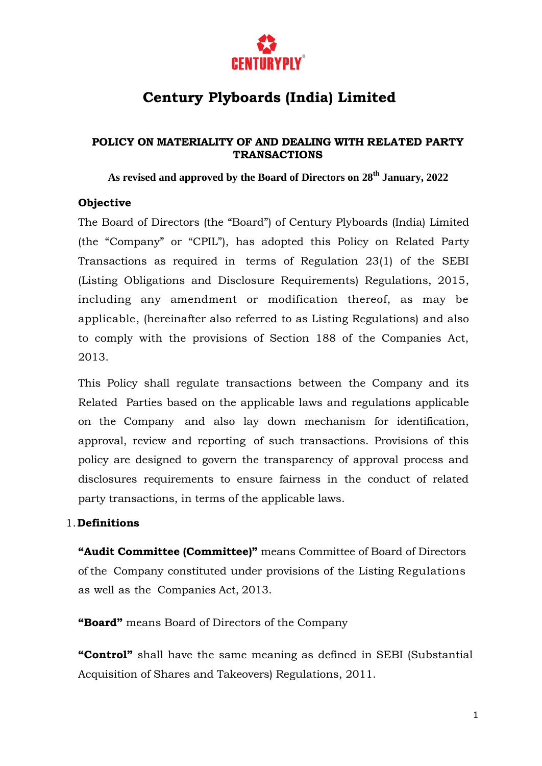

## **Century Plyboards (India) Limited**

#### **POLICY ON MATERIALITY OF AND DEALING WITH RELATED PARTY TRANSACTIONS**

**As revised and approved by the Board of Directors on 28th January, 2022**

#### **Objective**

The Board of Directors (the "Board") of Century Plyboards (India) Limited (the "Company" or "CPIL"), has adopted this Policy on Related Party Transactions as required in terms of Regulation 23(1) of the SEBI (Listing Obligations and Disclosure Requirements) Regulations, 2015, including any amendment or modification thereof, as may be applicable, (hereinafter also referred to as Listing Regulations) and also to comply with the provisions of Section 188 of the Companies Act, 2013.

This Policy shall regulate transactions between the Company and its Related Parties based on the applicable laws and regulations applicable on the Company and also lay down mechanism for identification, approval, review and reporting of such transactions. Provisions of this policy are designed to govern the transparency of approval process and disclosures requirements to ensure fairness in the conduct of related party transactions, in terms of the applicable laws.

#### 1.**Definitions**

**"Audit Committee (Committee)"** means Committee of Board of Directors of the Company constituted under provisions of the Listing Regulations as well as the Companies Act, 2013.

**"Board"** means Board of Directors of the Company

**"Control"** shall have the same meaning as defined in SEBI (Substantial Acquisition of Shares and Takeovers) Regulations, 2011.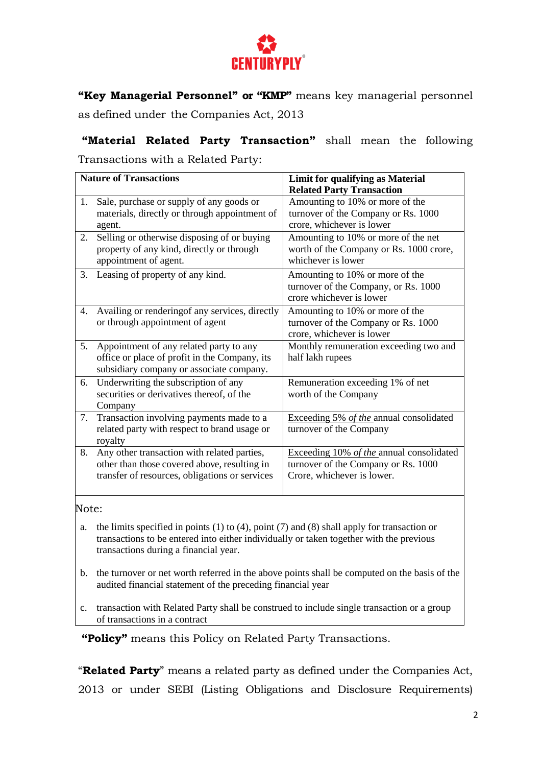

**"Key Managerial Personnel" or "KMP"** means key managerial personnel as defined under the Companies Act, 2013

**"Material Related Party Transaction"** shall mean the following Transactions with a Related Party:

| <b>Nature of Transactions</b> |                                                                                           | <b>Limit for qualifying as Material</b>                                |
|-------------------------------|-------------------------------------------------------------------------------------------|------------------------------------------------------------------------|
|                               |                                                                                           | <b>Related Party Transaction</b>                                       |
| 1.                            | Sale, purchase or supply of any goods or<br>materials, directly or through appointment of | Amounting to 10% or more of the<br>turnover of the Company or Rs. 1000 |
|                               | agent.                                                                                    | crore, whichever is lower                                              |
| 2.                            | Selling or otherwise disposing of or buying                                               | Amounting to 10% or more of the net                                    |
|                               | property of any kind, directly or through                                                 | worth of the Company or Rs. 1000 crore,                                |
|                               | appointment of agent.                                                                     | whichever is lower                                                     |
| 3.                            | Leasing of property of any kind.                                                          | Amounting to 10% or more of the                                        |
|                               |                                                                                           | turnover of the Company, or Rs. 1000                                   |
|                               |                                                                                           | crore whichever is lower                                               |
| 4.                            | Availing or rendering f any services, directly                                            | Amounting to 10% or more of the                                        |
|                               | or through appointment of agent                                                           | turnover of the Company or Rs. 1000                                    |
|                               |                                                                                           | crore, whichever is lower                                              |
| 5.                            | Appointment of any related party to any                                                   | Monthly remuneration exceeding two and                                 |
|                               | office or place of profit in the Company, its                                             | half lakh rupees                                                       |
|                               | subsidiary company or associate company.                                                  |                                                                        |
| 6.                            | Underwriting the subscription of any                                                      | Remuneration exceeding 1% of net                                       |
|                               | securities or derivatives thereof, of the                                                 | worth of the Company                                                   |
|                               | Company                                                                                   |                                                                        |
| 7.                            | Transaction involving payments made to a                                                  | Exceeding 5% of the annual consolidated                                |
|                               | related party with respect to brand usage or                                              | turnover of the Company                                                |
|                               | royalty                                                                                   |                                                                        |
| 8.                            | Any other transaction with related parties,                                               | Exceeding 10% of the annual consolidated                               |
|                               | other than those covered above, resulting in                                              | turnover of the Company or Rs. 1000                                    |
|                               | transfer of resources, obligations or services                                            | Crore, whichever is lower.                                             |
|                               |                                                                                           |                                                                        |

Note:

- a. the limits specified in points (1) to (4), point (7) and (8) shall apply for transaction or transactions to be entered into either individually or taken together with the previous transactions during a financial year.
- b. the turnover or net worth referred in the above points shall be computed on the basis of the audited financial statement of the preceding financial year
- c. transaction with Related Party shall be construed to include single transaction or a group of transactions in a contract

**"Policy"** means this Policy on Related Party Transactions.

"**Related Party**" means a related party as defined under the Companies Act, 2013 or under SEBI (Listing Obligations and Disclosure Requirements)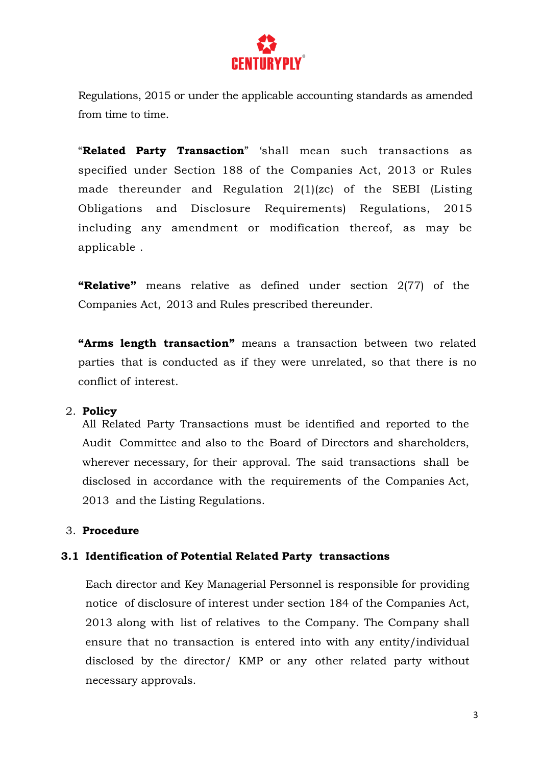

Regulations, 2015 or under the applicable accounting standards as amended from time to time.

"**Related Party Transaction**" 'shall mean such transactions as specified under Section 188 of the Companies Act, 2013 or Rules made thereunder and Regulation 2(1)(zc) of the SEBI (Listing Obligations and Disclosure Requirements) Regulations, 2015 including any amendment or modification thereof, as may be applicable .

**"Relative"** means relative as defined under section 2(77) of the Companies Act, 2013 and Rules prescribed thereunder.

**"Arms length transaction"** means a transaction between two related parties that is conducted as if they were unrelated, so that there is no conflict of interest.

#### 2. **Policy**

All Related Party Transactions must be identified and reported to the Audit Committee and also to the Board of Directors and shareholders, wherever necessary, for their approval. The said transactions shall be disclosed in accordance with the requirements of the Companies Act, 2013 and the Listing Regulations.

#### 3. **Procedure**

#### **3.1 Identification of Potential Related Party transactions**

Each director and Key Managerial Personnel is responsible for providing notice of disclosure of interest under section 184 of the Companies Act, 2013 along with list of relatives to the Company. The Company shall ensure that no transaction is entered into with any entity/individual disclosed by the director/ KMP or any other related party without necessary approvals.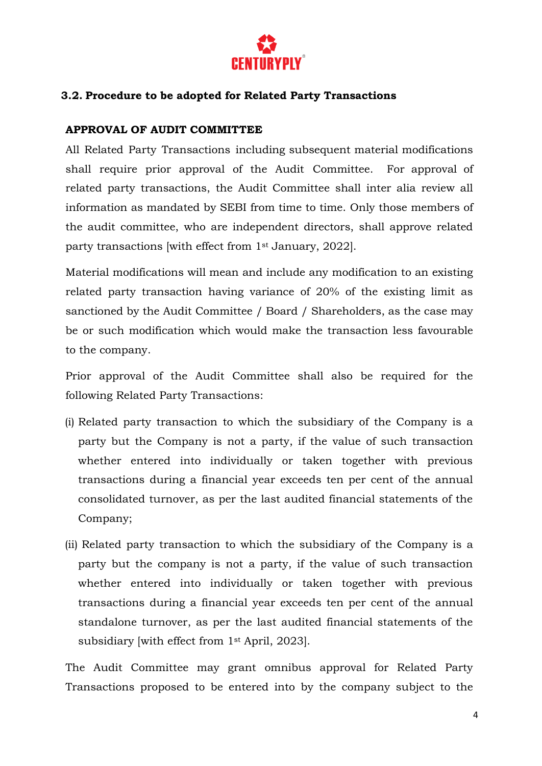

#### **3.2. Procedure to be adopted for Related Party Transactions**

#### **APPROVAL OF AUDIT COMMITTEE**

All Related Party Transactions including subsequent material modifications shall require prior approval of the Audit Committee. For approval of related party transactions, the Audit Committee shall inter alia review all information as mandated by SEBI from time to time. Only those members of the audit committee, who are independent directors, shall approve related party transactions [with effect from 1st January, 2022].

Material modifications will mean and include any modification to an existing related party transaction having variance of 20% of the existing limit as sanctioned by the Audit Committee / Board / Shareholders, as the case may be or such modification which would make the transaction less favourable to the company.

Prior approval of the Audit Committee shall also be required for the following Related Party Transactions:

- (i) Related party transaction to which the subsidiary of the Company is a party but the Company is not a party, if the value of such transaction whether entered into individually or taken together with previous transactions during a financial year exceeds ten per cent of the annual consolidated turnover, as per the last audited financial statements of the Company;
- (ii) Related party transaction to which the subsidiary of the Company is a party but the company is not a party, if the value of such transaction whether entered into individually or taken together with previous transactions during a financial year exceeds ten per cent of the annual standalone turnover, as per the last audited financial statements of the subsidiary [with effect from 1st April, 2023].

The Audit Committee may grant omnibus approval for Related Party Transactions proposed to be entered into by the company subject to the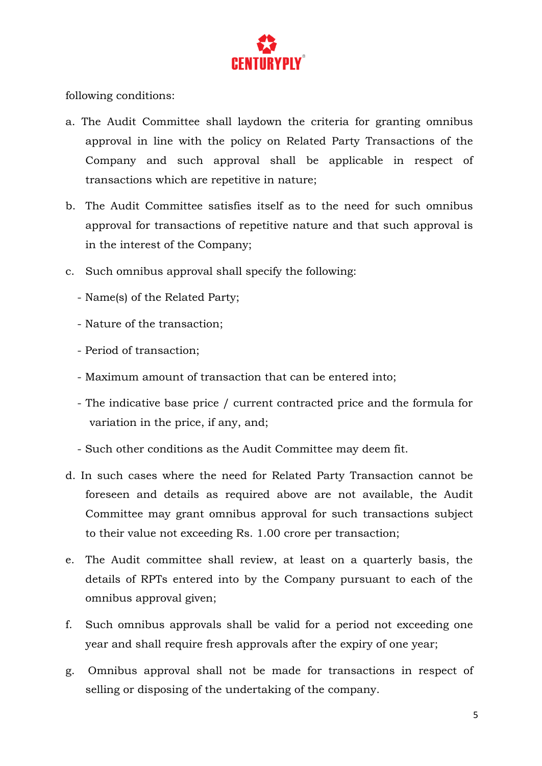

following conditions:

- a. The Audit Committee shall laydown the criteria for granting omnibus approval in line with the policy on Related Party Transactions of the Company and such approval shall be applicable in respect of transactions which are repetitive in nature;
- b. The Audit Committee satisfies itself as to the need for such omnibus approval for transactions of repetitive nature and that such approval is in the interest of the Company;
- c. Such omnibus approval shall specify the following:
	- Name(s) of the Related Party;
	- Nature of the transaction;
	- Period of transaction;
	- Maximum amount of transaction that can be entered into;
	- The indicative base price / current contracted price and the formula for variation in the price, if any, and;
	- Such other conditions as the Audit Committee may deem fit.
- d. In such cases where the need for Related Party Transaction cannot be foreseen and details as required above are not available, the Audit Committee may grant omnibus approval for such transactions subject to their value not exceeding Rs. 1.00 crore per transaction;
- e. The Audit committee shall review, at least on a quarterly basis, the details of RPTs entered into by the Company pursuant to each of the omnibus approval given;
- f. Such omnibus approvals shall be valid for a period not exceeding one year and shall require fresh approvals after the expiry of one year;
- g. Omnibus approval shall not be made for transactions in respect of selling or disposing of the undertaking of the company.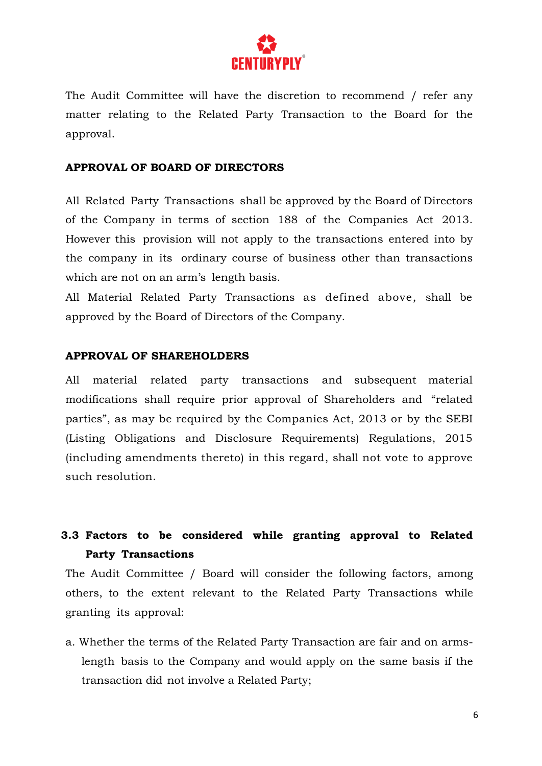

The Audit Committee will have the discretion to recommend / refer any matter relating to the Related Party Transaction to the Board for the approval.

#### **APPROVAL OF BOARD OF DIRECTORS**

All Related Party Transactions shall be approved by the Board of Directors of the Company in terms of section 188 of the Companies Act 2013. However this provision will not apply to the transactions entered into by the company in its ordinary course of business other than transactions which are not on an arm's length basis.

All Material Related Party Transactions as defined above, shall be approved by the Board of Directors of the Company.

#### **APPROVAL OF SHAREHOLDERS**

All material related party transactions and subsequent material modifications shall require prior approval of Shareholders and "related parties", as may be required by the Companies Act, 2013 or by the SEBI (Listing Obligations and Disclosure Requirements) Regulations, 2015 (including amendments thereto) in this regard, shall not vote to approve such resolution.

### **3.3 Factors to be considered while granting approval to Related Party Transactions**

The Audit Committee / Board will consider the following factors, among others, to the extent relevant to the Related Party Transactions while granting its approval:

a. Whether the terms of the Related Party Transaction are fair and on armslength basis to the Company and would apply on the same basis if the transaction did not involve a Related Party;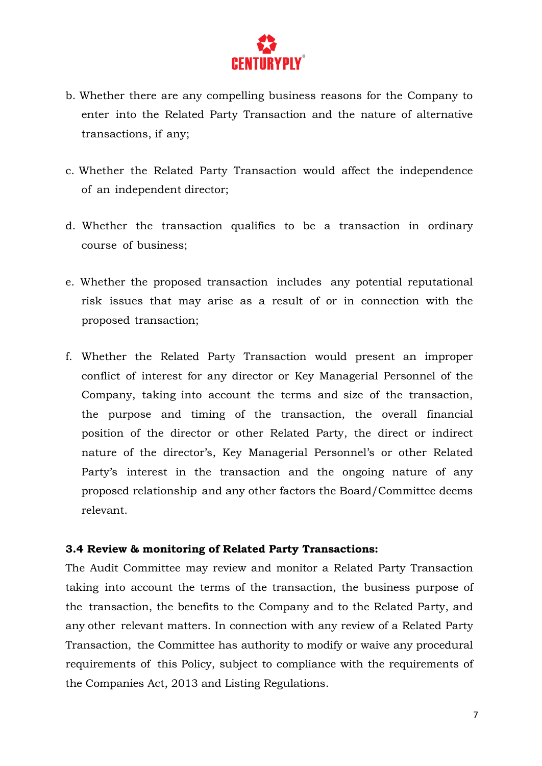

- b. Whether there are any compelling business reasons for the Company to enter into the Related Party Transaction and the nature of alternative transactions, if any;
- c. Whether the Related Party Transaction would affect the independence of an independent director;
- d. Whether the transaction qualifies to be a transaction in ordinary course of business;
- e. Whether the proposed transaction includes any potential reputational risk issues that may arise as a result of or in connection with the proposed transaction;
- f. Whether the Related Party Transaction would present an improper conflict of interest for any director or Key Managerial Personnel of the Company, taking into account the terms and size of the transaction, the purpose and timing of the transaction, the overall financial position of the director or other Related Party, the direct or indirect nature of the director's, Key Managerial Personnel's or other Related Party's interest in the transaction and the ongoing nature of any proposed relationship and any other factors the Board/Committee deems relevant.

#### **3.4 Review & monitoring of Related Party Transactions:**

The Audit Committee may review and monitor a Related Party Transaction taking into account the terms of the transaction, the business purpose of the transaction, the benefits to the Company and to the Related Party, and any other relevant matters. In connection with any review of a Related Party Transaction, the Committee has authority to modify or waive any procedural requirements of this Policy, subject to compliance with the requirements of the Companies Act, 2013 and Listing Regulations.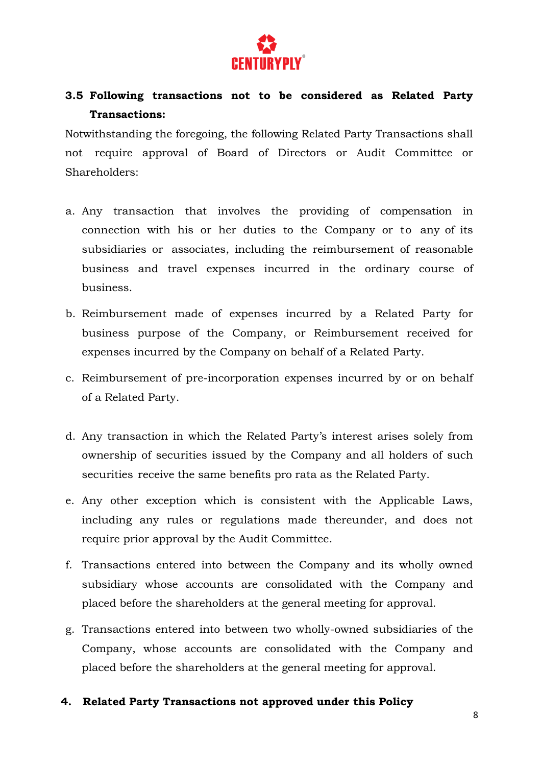

## **3.5 Following transactions not to be considered as Related Party Transactions:**

Notwithstanding the foregoing, the following Related Party Transactions shall not require approval of Board of Directors or Audit Committee or Shareholders:

- a. Any transaction that involves the providing of compensation in connection with his or her duties to the Company or to any of its subsidiaries or associates, including the reimbursement of reasonable business and travel expenses incurred in the ordinary course of business.
- b. Reimbursement made of expenses incurred by a Related Party for business purpose of the Company, or Reimbursement received for expenses incurred by the Company on behalf of a Related Party.
- c. Reimbursement of pre-incorporation expenses incurred by or on behalf of a Related Party.
- d. Any transaction in which the Related Party's interest arises solely from ownership of securities issued by the Company and all holders of such securities receive the same benefits pro rata as the Related Party.
- e. Any other exception which is consistent with the Applicable Laws, including any rules or regulations made thereunder, and does not require prior approval by the Audit Committee.
- f. Transactions entered into between the Company and its wholly owned subsidiary whose accounts are consolidated with the Company and placed before the shareholders at the general meeting for approval.
- g. Transactions entered into between two wholly-owned subsidiaries of the Company, whose accounts are consolidated with the Company and placed before the shareholders at the general meeting for approval.

#### **4. Related Party Transactions not approved under this Policy**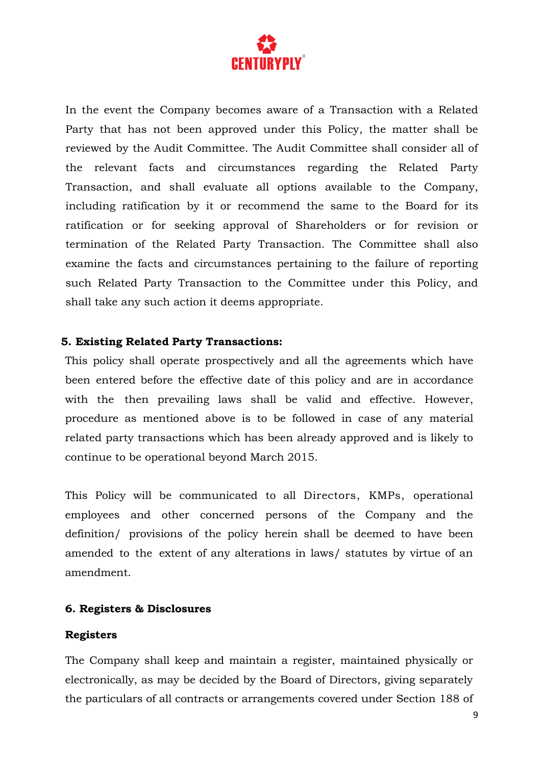

In the event the Company becomes aware of a Transaction with a Related Party that has not been approved under this Policy, the matter shall be reviewed by the Audit Committee. The Audit Committee shall consider all of the relevant facts and circumstances regarding the Related Party Transaction, and shall evaluate all options available to the Company, including ratification by it or recommend the same to the Board for its ratification or for seeking approval of Shareholders or for revision or termination of the Related Party Transaction. The Committee shall also examine the facts and circumstances pertaining to the failure of reporting such Related Party Transaction to the Committee under this Policy, and shall take any such action it deems appropriate.

#### **5. Existing Related Party Transactions:**

This policy shall operate prospectively and all the agreements which have been entered before the effective date of this policy and are in accordance with the then prevailing laws shall be valid and effective. However, procedure as mentioned above is to be followed in case of any material related party transactions which has been already approved and is likely to continue to be operational beyond March 2015.

This Policy will be communicated to all Directors, KMPs, operational employees and other concerned persons of the Company and the definition/ provisions of the policy herein shall be deemed to have been amended to the extent of any alterations in laws/ statutes by virtue of an amendment.

#### **6. Registers & Disclosures**

#### **Registers**

The Company shall keep and maintain a register, maintained physically or electronically, as may be decided by the Board of Directors, giving separately the particulars of all contracts or arrangements covered under Section 188 of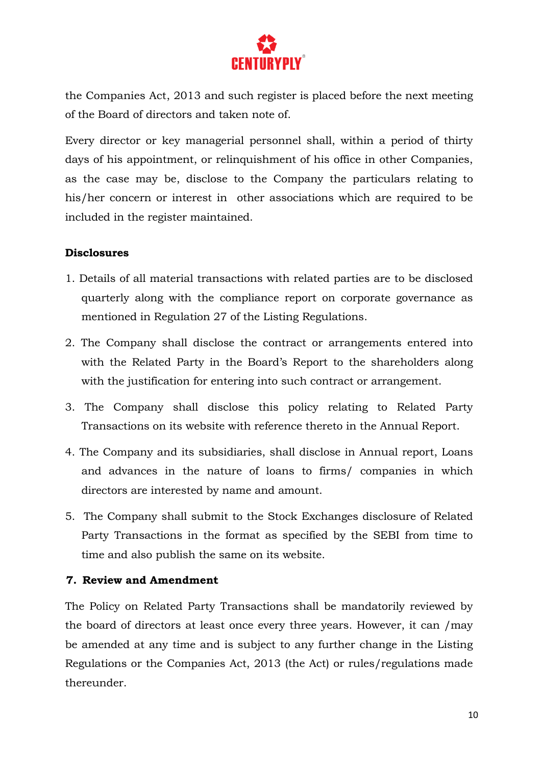

the Companies Act, 2013 and such register is placed before the next meeting of the Board of directors and taken note of.

Every director or key managerial personnel shall, within a period of thirty days of his appointment, or relinquishment of his office in other Companies, as the case may be, disclose to the Company the particulars relating to his/her concern or interest in other associations which are required to be included in the register maintained.

#### **Disclosures**

- 1. Details of all material transactions with related parties are to be disclosed quarterly along with the compliance report on corporate governance as mentioned in Regulation 27 of the Listing Regulations.
- 2. The Company shall disclose the contract or arrangements entered into with the Related Party in the Board's Report to the shareholders along with the justification for entering into such contract or arrangement.
- 3. The Company shall disclose this policy relating to Related Party Transactions on its website with reference thereto in the Annual Report.
- 4. The Company and its subsidiaries, shall disclose in Annual report, Loans and advances in the nature of loans to firms/ companies in which directors are interested by name and amount.
- 5. The Company shall submit to the Stock Exchanges disclosure of Related Party Transactions in the format as specified by the SEBI from time to time and also publish the same on its website.

#### **7. Review and Amendment**

The Policy on Related Party Transactions shall be mandatorily reviewed by the board of directors at least once every three years. However, it can /may be amended at any time and is subject to any further change in the Listing Regulations or the Companies Act, 2013 (the Act) or rules/regulations made thereunder.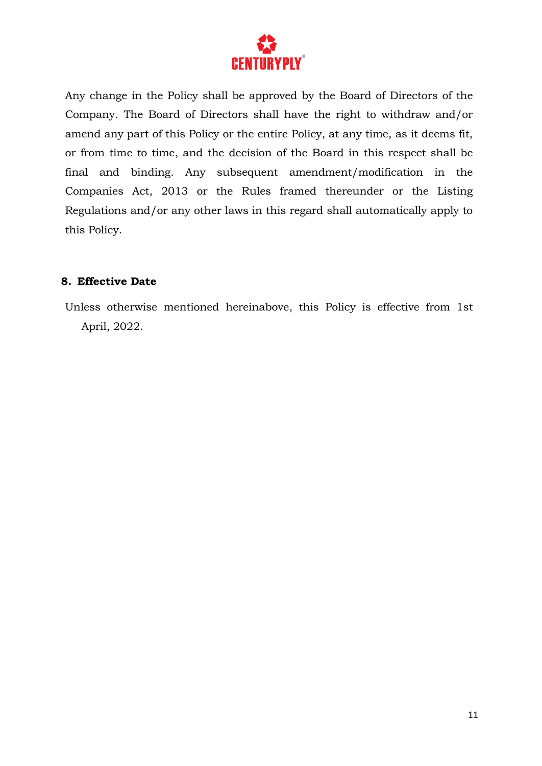

Any change in the Policy shall be approved by the Board of Directors of the Company. The Board of Directors shall have the right to withdraw and/or amend any part of this Policy or the entire Policy, at any time, as it deems fit, or from time to time, and the decision of the Board in this respect shall be final and binding. Any subsequent amendment/modification in the Companies Act, 2013 or the Rules framed thereunder or the Listing Regulations and/or any other laws in this regard shall automatically apply to this Policy.

#### **8. Effective Date**

Unless otherwise mentioned hereinabove, this Policy is effective from 1st April, 2022.